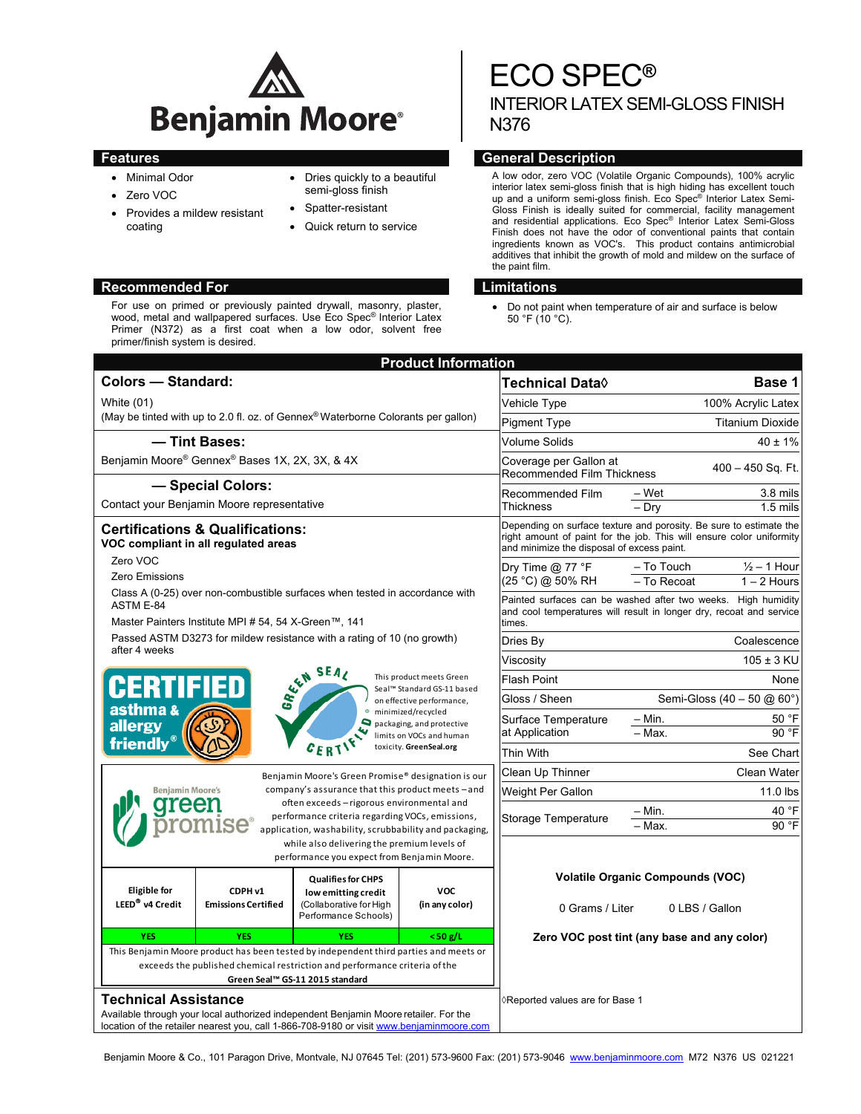

- Minimal Odor
- Zero VOC
- Provides a mildew resistant coating
- Dries quickly to a beautiful semi-gloss finish
- Spatter-resistant
- Quick return to service

# **Recommended For Limitations and Limitations**

For use on primed or previously painted drywall, masonry, plaster, wood, metal and wallpapered surfaces. Use Eco Spec® Interior Latex Primer (N372) as a first coat when a low odor, solvent free primer/finish system is desired.

# ECO SPEC**®** INTERIOR LATEX SEMI-GLOSS FINISH N376

# **Features General Description According to the Contract Office According Ceneral Description According to the Contract Office According to the Contract Office According to the Contract Office According to the Contract Offi**

A low odor, zero VOC (Volatile Organic Compounds), 100% acrylic interior latex semi-gloss finish that is high hiding has excellent touch up and a uniform semi-gloss finish. Eco Spec® Interior Latex Semi-Gloss Finish is ideally suited for commercial, facility management and residential applications. Eco Spec® Interior Latex Semi-Gloss Finish does not have the odor of conventional paints that contain ingredients known as VOC's. This product contains antimicrobial additives that inhibit the growth of mold and mildew on the surface of the paint film.

 Do not paint when temperature of air and surface is below 50 °F (10 °C).

| <b>Product Information</b>                                                                                                                                                                                                                  |                                                                                                                            |                                                                                                           |                                            |                                                                                                                                                |                                              |  |
|---------------------------------------------------------------------------------------------------------------------------------------------------------------------------------------------------------------------------------------------|----------------------------------------------------------------------------------------------------------------------------|-----------------------------------------------------------------------------------------------------------|--------------------------------------------|------------------------------------------------------------------------------------------------------------------------------------------------|----------------------------------------------|--|
|                                                                                                                                                                                                                                             | <b>Colors - Standard:</b>                                                                                                  |                                                                                                           |                                            | Technical Data <b>◊</b>                                                                                                                        | Base 1                                       |  |
| <b>White (01)</b>                                                                                                                                                                                                                           |                                                                                                                            |                                                                                                           | Vehicle Type                               | 100% Acrylic Latex                                                                                                                             |                                              |  |
| (May be tinted with up to 2.0 fl. oz. of Gennex <sup>®</sup> Waterborne Colorants per gallon)                                                                                                                                               |                                                                                                                            |                                                                                                           | <b>Pigment Type</b>                        | <b>Titanium Dioxide</b>                                                                                                                        |                                              |  |
| - Tint Bases:                                                                                                                                                                                                                               |                                                                                                                            |                                                                                                           | Volume Solids                              | $40 \pm 1\%$                                                                                                                                   |                                              |  |
| Benjamin Moore® Gennex® Bases 1X, 2X, 3X, & 4X                                                                                                                                                                                              |                                                                                                                            |                                                                                                           |                                            | Coverage per Gallon at<br>Recommended Film Thickness                                                                                           | 400 - 450 Sq. Ft.                            |  |
| - Special Colors:                                                                                                                                                                                                                           |                                                                                                                            |                                                                                                           | Recommended Film<br>Thickness              | – Wet<br>3.8 mils                                                                                                                              |                                              |  |
| Contact your Benjamin Moore representative                                                                                                                                                                                                  |                                                                                                                            |                                                                                                           |                                            | $1.5$ mils<br>– Dry                                                                                                                            |                                              |  |
|                                                                                                                                                                                                                                             | <b>Certifications &amp; Qualifications:</b><br>VOC compliant in all regulated areas                                        |                                                                                                           | and minimize the disposal of excess paint. | Depending on surface texture and porosity. Be sure to estimate the<br>right amount of paint for the job. This will ensure color uniformity     |                                              |  |
| Zero VOC                                                                                                                                                                                                                                    |                                                                                                                            |                                                                                                           |                                            |                                                                                                                                                | – To Touch<br>$\frac{1}{2}$ – 1 Hour         |  |
|                                                                                                                                                                                                                                             | Zero Emissions                                                                                                             |                                                                                                           |                                            |                                                                                                                                                | $-$ To Recoat<br>$1 - 2$ Hours               |  |
| Class A (0-25) over non-combustible surfaces when tested in accordance with<br>ASTM E-84<br>Master Painters Institute MPI # 54, 54 X-Green™, 141                                                                                            |                                                                                                                            |                                                                                                           |                                            | Painted surfaces can be washed after two weeks. High humidity<br>and cool temperatures will result in longer dry, recoat and service<br>times. |                                              |  |
| Passed ASTM D3273 for mildew resistance with a rating of 10 (no growth)<br>after 4 weeks                                                                                                                                                    |                                                                                                                            |                                                                                                           | Dries By                                   | Coalescence                                                                                                                                    |                                              |  |
|                                                                                                                                                                                                                                             |                                                                                                                            |                                                                                                           | Viscosity                                  | $105 \pm 3$ KU                                                                                                                                 |                                              |  |
| GEN SEAL<br>This product meets Green<br>CERTIFIED<br>Seal™ Standard GS-11 based<br>on effective performance,<br>asthma &<br>minimized/recycled<br>allergy<br>packaging, and protective<br>limits on VOCs and human<br>friendly <sup>®</sup> |                                                                                                                            |                                                                                                           |                                            | <b>Flash Point</b><br>None                                                                                                                     |                                              |  |
|                                                                                                                                                                                                                                             |                                                                                                                            |                                                                                                           |                                            | Gloss / Sheen                                                                                                                                  | Semi-Gloss $(40 - 50 \text{ @ } 60^{\circ})$ |  |
|                                                                                                                                                                                                                                             |                                                                                                                            |                                                                                                           |                                            | Surface Temperature<br>at Application<br>Thin With                                                                                             | $-$ Min.<br>50 °F                            |  |
|                                                                                                                                                                                                                                             |                                                                                                                            |                                                                                                           |                                            |                                                                                                                                                | - Max.<br>90 °F                              |  |
|                                                                                                                                                                                                                                             | CERTIF<br>toxicity. GreenSeal.org                                                                                          |                                                                                                           |                                            |                                                                                                                                                | See Chart                                    |  |
| Benjamin Moore's Green Promise® designation is our                                                                                                                                                                                          |                                                                                                                            |                                                                                                           |                                            | Clean Up Thinner                                                                                                                               | <b>Clean Water</b>                           |  |
|                                                                                                                                                                                                                                             | company's assurance that this product meets - and<br><b>Benjamin Moore's</b><br>often exceeds - rigorous environmental and |                                                                                                           |                                            |                                                                                                                                                | 11.0 lbs                                     |  |
|                                                                                                                                                                                                                                             | <b>Se</b>                                                                                                                  | performance criteria regarding VOCs, emissions,<br>application, washability, scrubbability and packaging, | Storage Temperature                        | 40 °F<br>– Min.<br>90 °F<br>- Max.                                                                                                             |                                              |  |
|                                                                                                                                                                                                                                             |                                                                                                                            | while also delivering the premium levels of<br>performance you expect from Benjamin Moore.                |                                            |                                                                                                                                                |                                              |  |
| <b>Eligible</b> for<br>LEED <sup>®</sup> v4 Credit                                                                                                                                                                                          | CDPH v1<br><b>Emissions Certified</b>                                                                                      | <b>Qualifies for CHPS</b><br>low emitting credit<br>(Collaborative for High                               | <b>VOC</b><br>(in any color)               |                                                                                                                                                | <b>Volatile Organic Compounds (VOC)</b>      |  |
|                                                                                                                                                                                                                                             |                                                                                                                            | Performance Schools)                                                                                      |                                            | 0 Grams / Liter                                                                                                                                | 0 LBS / Gallon                               |  |
| <b>YES</b>                                                                                                                                                                                                                                  | <b>YES</b>                                                                                                                 | <b>YES</b>                                                                                                | $<$ 50 g/L                                 |                                                                                                                                                | Zero VOC post tint (any base and any color)  |  |
| This Benjamin Moore product has been tested by independent third parties and meets or                                                                                                                                                       |                                                                                                                            |                                                                                                           |                                            |                                                                                                                                                |                                              |  |
| exceeds the published chemical restriction and performance criteria of the<br>Green Seal™ GS-11 2015 standard                                                                                                                               |                                                                                                                            |                                                                                                           |                                            |                                                                                                                                                |                                              |  |
| <b>Technical Assistance</b>                                                                                                                                                                                                                 |                                                                                                                            |                                                                                                           |                                            | ◊Reported values are for Base 1                                                                                                                |                                              |  |
| Available through your local authorized independent Benjamin Moore retailer. For the<br>location of the retailer nearest you, call 1-866-708-9180 or visit www.benjaminmoore.com                                                            |                                                                                                                            |                                                                                                           |                                            |                                                                                                                                                |                                              |  |